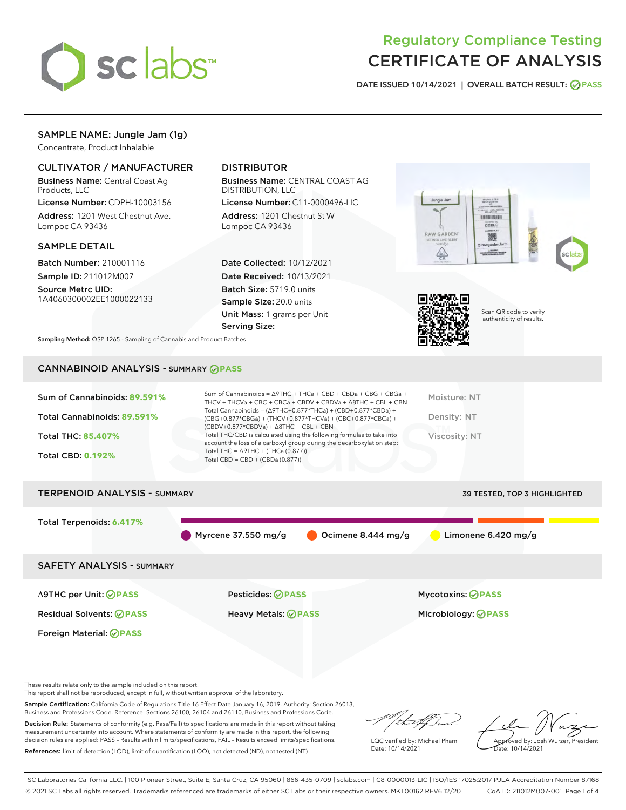

## Regulatory Compliance Testing CERTIFICATE OF ANALYSIS

DATE ISSUED 10/14/2021 | OVERALL BATCH RESULT: @ PASS

### SAMPLE NAME: Jungle Jam (1g)

Concentrate, Product Inhalable

#### CULTIVATOR / MANUFACTURER

Business Name: Central Coast Ag Products, LLC

License Number: CDPH-10003156 Address: 1201 West Chestnut Ave. Lompoc CA 93436

#### SAMPLE DETAIL

Batch Number: 210001116 Sample ID: 211012M007

Source Metrc UID: 1A4060300002EE1000022133

#### DISTRIBUTOR

Business Name: CENTRAL COAST AG DISTRIBUTION, LLC

License Number: C11-0000496-LIC Address: 1201 Chestnut St W Lompoc CA 93436

Date Collected: 10/12/2021 Date Received: 10/13/2021 Batch Size: 5719.0 units Sample Size: 20.0 units Unit Mass: 1 grams per Unit Serving Size:





Scan QR code to verify authenticity of results.

Sampling Method: QSP 1265 - Sampling of Cannabis and Product Batches

## CANNABINOID ANALYSIS - SUMMARY **PASS**

| Sum of Cannabinoids: 89.591% | Sum of Cannabinoids = $\triangle$ 9THC + THCa + CBD + CBDa + CBG + CBGa +<br>THCV + THCVa + CBC + CBCa + CBDV + CBDVa + $\Delta$ 8THC + CBL + CBN                                    | Moisture: NT  |
|------------------------------|--------------------------------------------------------------------------------------------------------------------------------------------------------------------------------------|---------------|
| Total Cannabinoids: 89.591%  | Total Cannabinoids = $(\Delta$ 9THC+0.877*THCa) + (CBD+0.877*CBDa) +<br>(CBG+0.877*CBGa) + (THCV+0.877*THCVa) + (CBC+0.877*CBCa) +<br>$(CBDV+0.877*CBDVa) + \Delta 8THC + CBL + CBN$ | Density: NT   |
| <b>Total THC: 85.407%</b>    | Total THC/CBD is calculated using the following formulas to take into<br>account the loss of a carboxyl group during the decarboxylation step:                                       | Viscosity: NT |
| <b>Total CBD: 0.192%</b>     | Total THC = $\triangle$ 9THC + (THCa (0.877))<br>Total CBD = $CBD + (CBDa (0.877))$                                                                                                  |               |
|                              |                                                                                                                                                                                      |               |

# TERPENOID ANALYSIS - SUMMARY 39 TESTED, TOP 3 HIGHLIGHTED Total Terpenoids: **6.417%** Myrcene 37.550 mg/g  $\bigcirc$  Ocimene 8.444 mg/g  $\bigcirc$  Limonene 6.420 mg/g SAFETY ANALYSIS - SUMMARY Δ9THC per Unit: **PASS** Pesticides: **PASS** Mycotoxins: **PASS**

Foreign Material: **PASS**

Residual Solvents: **PASS** Heavy Metals: **PASS** Microbiology: **PASS**

These results relate only to the sample included on this report.

This report shall not be reproduced, except in full, without written approval of the laboratory.

Sample Certification: California Code of Regulations Title 16 Effect Date January 16, 2019. Authority: Section 26013, Business and Professions Code. Reference: Sections 26100, 26104 and 26110, Business and Professions Code.

Decision Rule: Statements of conformity (e.g. Pass/Fail) to specifications are made in this report without taking measurement uncertainty into account. Where statements of conformity are made in this report, the following decision rules are applied: PASS – Results within limits/specifications, FAIL – Results exceed limits/specifications. References: limit of detection (LOD), limit of quantification (LOQ), not detected (ND), not tested (NT)

that f(ha

LQC verified by: Michael Pham Date: 10/14/2021

Approved by: Josh Wurzer, President ate: 10/14/2021

SC Laboratories California LLC. | 100 Pioneer Street, Suite E, Santa Cruz, CA 95060 | 866-435-0709 | sclabs.com | C8-0000013-LIC | ISO/IES 17025:2017 PJLA Accreditation Number 87168 © 2021 SC Labs all rights reserved. Trademarks referenced are trademarks of either SC Labs or their respective owners. MKT00162 REV6 12/20 CoA ID: 211012M007-001 Page 1 of 4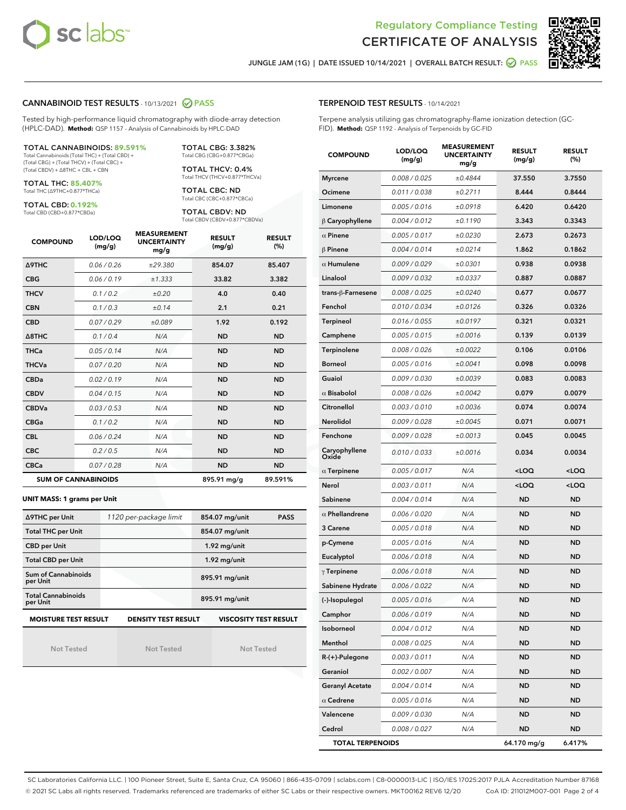



JUNGLE JAM (1G) | DATE ISSUED 10/14/2021 | OVERALL BATCH RESULT:  $\bigcirc$  PASS

#### CANNABINOID TEST RESULTS - 10/13/2021 2 PASS

Tested by high-performance liquid chromatography with diode-array detection (HPLC-DAD). **Method:** QSP 1157 - Analysis of Cannabinoids by HPLC-DAD

#### TOTAL CANNABINOIDS: **89.591%**

Total Cannabinoids (Total THC) + (Total CBD) + (Total CBG) + (Total THCV) + (Total CBC) + (Total CBDV) + ∆8THC + CBL + CBN

TOTAL THC: **85.407%** Total THC (∆9THC+0.877\*THCa)

TOTAL CBD: **0.192%**

Total CBD (CBD+0.877\*CBDa)

TOTAL CBG: 3.382% Total CBG (CBG+0.877\*CBGa)

TOTAL THCV: 0.4% Total THCV (THCV+0.877\*THCVa)

TOTAL CBC: ND Total CBC (CBC+0.877\*CBCa)

TOTAL CBDV: ND Total CBDV (CBDV+0.877\*CBDVa)

| <b>COMPOUND</b>  | LOD/LOQ<br>(mg/g)          | <b>MEASUREMENT</b><br><b>UNCERTAINTY</b><br>mg/g | <b>RESULT</b><br>(mg/g) | <b>RESULT</b><br>(%) |
|------------------|----------------------------|--------------------------------------------------|-------------------------|----------------------|
| <b>A9THC</b>     | 0.06/0.26                  | ±29.380                                          | 854.07                  | 85.407               |
| <b>CBG</b>       | 0.06/0.19                  | ±1.333                                           | 33.82                   | 3.382                |
| <b>THCV</b>      | 0.1/0.2                    | ±0.20                                            | 4.0                     | 0.40                 |
| <b>CBN</b>       | 0.1/0.3                    | ±0.14                                            | 2.1                     | 0.21                 |
| <b>CBD</b>       | 0.07/0.29                  | ±0.089                                           | 1.92                    | 0.192                |
| $\triangle$ 8THC | 0.1 / 0.4                  | N/A                                              | <b>ND</b>               | <b>ND</b>            |
| <b>THCa</b>      | 0.05/0.14                  | N/A                                              | <b>ND</b>               | <b>ND</b>            |
| <b>THCVa</b>     | 0.07/0.20                  | N/A                                              | <b>ND</b>               | <b>ND</b>            |
| <b>CBDa</b>      | 0.02/0.19                  | N/A                                              | <b>ND</b>               | <b>ND</b>            |
| <b>CBDV</b>      | 0.04/0.15                  | N/A                                              | <b>ND</b>               | <b>ND</b>            |
| <b>CBDVa</b>     | 0.03/0.53                  | N/A                                              | <b>ND</b>               | <b>ND</b>            |
| <b>CBGa</b>      | 0.1/0.2                    | N/A                                              | <b>ND</b>               | <b>ND</b>            |
| <b>CBL</b>       | 0.06 / 0.24                | N/A                                              | <b>ND</b>               | <b>ND</b>            |
| <b>CBC</b>       | 0.2 / 0.5                  | N/A                                              | <b>ND</b>               | <b>ND</b>            |
| <b>CBCa</b>      | 0.07/0.28                  | N/A                                              | <b>ND</b>               | <b>ND</b>            |
|                  | <b>SUM OF CANNABINOIDS</b> |                                                  | 895.91 mg/g             | 89.591%              |

#### **UNIT MASS: 1 grams per Unit**

| ∆9THC per Unit                        | 1120 per-package limit     | 854.07 mg/unit<br><b>PASS</b> |
|---------------------------------------|----------------------------|-------------------------------|
| <b>Total THC per Unit</b>             |                            | 854.07 mg/unit                |
| <b>CBD per Unit</b>                   |                            | $1.92$ mg/unit                |
| <b>Total CBD per Unit</b>             |                            | $1.92$ mg/unit                |
| Sum of Cannabinoids<br>per Unit       |                            | 895.91 mg/unit                |
| <b>Total Cannabinoids</b><br>per Unit |                            | 895.91 mg/unit                |
| <b>MOISTURE TEST RESULT</b>           | <b>DENSITY TEST RESULT</b> | <b>VISCOSITY TEST RESULT</b>  |

Not Tested

Not Tested

Not Tested

#### TERPENOID TEST RESULTS - 10/14/2021

Terpene analysis utilizing gas chromatography-flame ionization detection (GC-FID). **Method:** QSP 1192 - Analysis of Terpenoids by GC-FID

| <b>COMPOUND</b>         | LOD/LOQ<br>(mg/g) | <b>MEASUREMENT</b><br><b>UNCERTAINTY</b><br>mg/g | <b>RESULT</b><br>(mg/g)                         | <b>RESULT</b><br>(%) |
|-------------------------|-------------------|--------------------------------------------------|-------------------------------------------------|----------------------|
| <b>Myrcene</b>          | 0.008 / 0.025     | ±0.4844                                          | 37.550                                          | 3.7550               |
| Ocimene                 | 0.011 / 0.038     | ±0.2711                                          | 8.444                                           | 0.8444               |
| Limonene                | 0.005 / 0.016     | ±0.0918                                          | 6.420                                           | 0.6420               |
| $\upbeta$ Caryophyllene | 0.004 / 0.012     | ±0.1190                                          | 3.343                                           | 0.3343               |
| $\alpha$ Pinene         | 0.005 / 0.017     | ±0.0230                                          | 2.673                                           | 0.2673               |
| $\beta$ Pinene          | 0.004 / 0.014     | ±0.0214                                          | 1.862                                           | 0.1862               |
| $\alpha$ Humulene       | 0.009 / 0.029     | ±0.0301                                          | 0.938                                           | 0.0938               |
| Linalool                | 0.009 / 0.032     | ±0.0337                                          | 0.887                                           | 0.0887               |
| trans-β-Farnesene       | 0.008 / 0.025     | ±0.0240                                          | 0.677                                           | 0.0677               |
| Fenchol                 | 0.010 / 0.034     | ±0.0126                                          | 0.326                                           | 0.0326               |
| Terpineol               | 0.016 / 0.055     | ±0.0197                                          | 0.321                                           | 0.0321               |
| Camphene                | 0.005 / 0.015     | ±0.0016                                          | 0.139                                           | 0.0139               |
| Terpinolene             | 0.008 / 0.026     | ±0.0022                                          | 0.106                                           | 0.0106               |
| <b>Borneol</b>          | 0.005 / 0.016     | ±0.0041                                          | 0.098                                           | 0.0098               |
| Guaiol                  | 0.009 / 0.030     | ±0.0039                                          | 0.083                                           | 0.0083               |
| $\alpha$ Bisabolol      | 0.008 / 0.026     | ±0.0042                                          | 0.079                                           | 0.0079               |
| Citronellol             | 0.003 / 0.010     | ±0.0036                                          | 0.074                                           | 0.0074               |
| <b>Nerolidol</b>        | 0.009 / 0.028     | ±0.0045                                          | 0.071                                           | 0.0071               |
| Fenchone                | 0.009 / 0.028     | ±0.0013                                          | 0.045                                           | 0.0045               |
| Caryophyllene<br>Oxide  | 0.010 / 0.033     | ±0.0016                                          | 0.034                                           | 0.0034               |
| $\alpha$ Terpinene      | 0.005 / 0.017     | N/A                                              | <loq< th=""><th><loq< th=""></loq<></th></loq<> | <loq< th=""></loq<>  |
| Nerol                   | 0.003 / 0.011     | N/A                                              | <loq< th=""><th><loq< th=""></loq<></th></loq<> | <loq< th=""></loq<>  |
| Sabinene                | 0.004 / 0.014     | N/A                                              | <b>ND</b>                                       | ND                   |
| $\alpha$ Phellandrene   | 0.006 / 0.020     | N/A                                              | ND                                              | ND                   |
| 3 Carene                | 0.005 / 0.018     | N/A                                              | ND                                              | ND                   |
| p-Cymene                | 0.005 / 0.016     | N/A                                              | <b>ND</b>                                       | <b>ND</b>            |
| Eucalyptol              | 0.006 / 0.018     | N/A                                              | ND                                              | ND                   |
| $\gamma$ Terpinene      | 0.006 / 0.018     | N/A                                              | ND                                              | ND                   |
| Sabinene Hydrate        | 0.006 / 0.022     | N/A                                              | <b>ND</b>                                       | ND                   |
| (-)-Isopulegol          | 0.005 / 0.016     | N/A                                              | ND                                              | <b>ND</b>            |
| Camphor                 | 0.006 / 0.019     | N/A                                              | ND                                              | ND                   |
| Isoborneol              | 0.004 / 0.012     | N/A                                              | ND                                              | ND                   |
| Menthol                 | 0.008 / 0.025     | N/A                                              | <b>ND</b>                                       | ND                   |
| R-(+)-Pulegone          | 0.003 / 0.011     | N/A                                              | <b>ND</b>                                       | ND                   |
| Geraniol                | 0.002 / 0.007     | N/A                                              | ND                                              | ND                   |
| <b>Geranyl Acetate</b>  | 0.004 / 0.014     | N/A                                              | ND                                              | ND                   |
| $\alpha$ Cedrene        | 0.005 / 0.016     | N/A                                              | <b>ND</b>                                       | ND                   |
| Valencene               | 0.009 / 0.030     | N/A                                              | ND                                              | ND                   |
| Cedrol                  | 0.008 / 0.027     | N/A                                              | <b>ND</b>                                       | ND                   |
| <b>TOTAL TERPENOIDS</b> |                   |                                                  | 64.170 mg/g                                     | 6.417%               |

SC Laboratories California LLC. | 100 Pioneer Street, Suite E, Santa Cruz, CA 95060 | 866-435-0709 | sclabs.com | C8-0000013-LIC | ISO/IES 17025:2017 PJLA Accreditation Number 87168 © 2021 SC Labs all rights reserved. Trademarks referenced are trademarks of either SC Labs or their respective owners. MKT00162 REV6 12/20 CoA ID: 211012M007-001 Page 2 of 4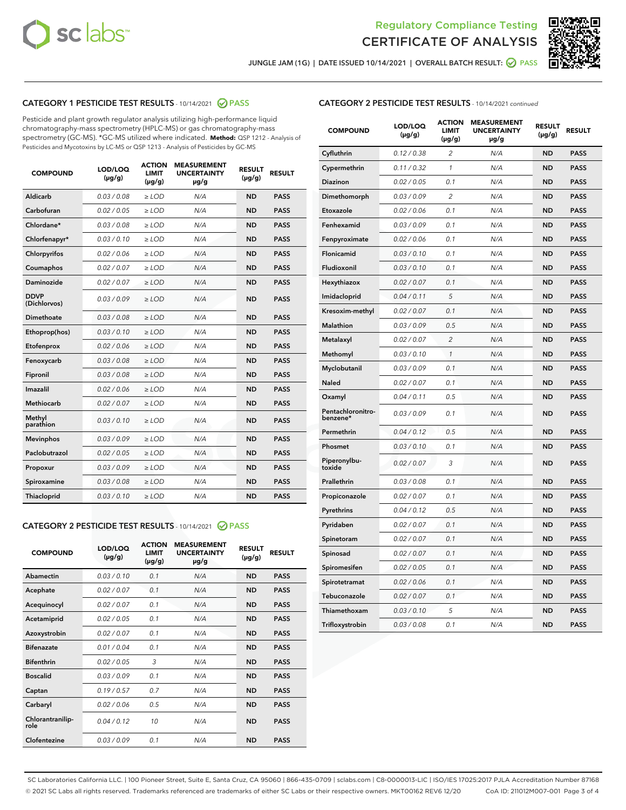



JUNGLE JAM (1G) | DATE ISSUED 10/14/2021 | OVERALL BATCH RESULT: 2 PASS

#### CATEGORY 1 PESTICIDE TEST RESULTS - 10/14/2021 2 PASS

Pesticide and plant growth regulator analysis utilizing high-performance liquid chromatography-mass spectrometry (HPLC-MS) or gas chromatography-mass spectrometry (GC-MS). \*GC-MS utilized where indicated. **Method:** QSP 1212 - Analysis of Pesticides and Mycotoxins by LC-MS or QSP 1213 - Analysis of Pesticides by GC-MS

| <b>COMPOUND</b>             | LOD/LOQ<br>$(\mu g/g)$ | <b>ACTION</b><br><b>LIMIT</b><br>$(\mu g/g)$ | <b>MEASUREMENT</b><br><b>UNCERTAINTY</b><br>µg/g | <b>RESULT</b><br>$(\mu g/g)$ | <b>RESULT</b> |
|-----------------------------|------------------------|----------------------------------------------|--------------------------------------------------|------------------------------|---------------|
| Aldicarb                    | 0.03/0.08              | $>$ LOD                                      | N/A                                              | <b>ND</b>                    | <b>PASS</b>   |
| Carbofuran                  | 0.02 / 0.05            | $\ge$ LOD                                    | N/A                                              | <b>ND</b>                    | <b>PASS</b>   |
| Chlordane*                  | 0.03/0.08              | $>$ LOD                                      | N/A                                              | <b>ND</b>                    | <b>PASS</b>   |
| Chlorfenapyr*               | 0.03 / 0.10            | $\ge$ LOD                                    | N/A                                              | <b>ND</b>                    | <b>PASS</b>   |
| Chlorpyrifos                | 0.02 / 0.06            | $\ge$ LOD                                    | N/A                                              | <b>ND</b>                    | <b>PASS</b>   |
| Coumaphos                   | 0.02 / 0.07            | $\ge$ LOD                                    | N/A                                              | <b>ND</b>                    | <b>PASS</b>   |
| Daminozide                  | 0.02 / 0.07            | $\ge$ LOD                                    | N/A                                              | <b>ND</b>                    | <b>PASS</b>   |
| <b>DDVP</b><br>(Dichlorvos) | 0.03/0.09              | $\ge$ LOD                                    | N/A                                              | <b>ND</b>                    | <b>PASS</b>   |
| <b>Dimethoate</b>           | 0.03 / 0.08            | $\ge$ LOD                                    | N/A                                              | <b>ND</b>                    | <b>PASS</b>   |
| Ethoprop(hos)               | 0.03/0.10              | $\ge$ LOD                                    | N/A                                              | <b>ND</b>                    | <b>PASS</b>   |
| Etofenprox                  | 0.02 / 0.06            | $\ge$ LOD                                    | N/A                                              | <b>ND</b>                    | <b>PASS</b>   |
| Fenoxycarb                  | 0.03 / 0.08            | $\ge$ LOD                                    | N/A                                              | <b>ND</b>                    | <b>PASS</b>   |
| Fipronil                    | 0.03/0.08              | $>$ LOD                                      | N/A                                              | <b>ND</b>                    | <b>PASS</b>   |
| Imazalil                    | 0.02 / 0.06            | $\ge$ LOD                                    | N/A                                              | <b>ND</b>                    | <b>PASS</b>   |
| Methiocarb                  | 0.02 / 0.07            | $\ge$ LOD                                    | N/A                                              | <b>ND</b>                    | <b>PASS</b>   |
| Methyl<br>parathion         | 0.03/0.10              | $\ge$ LOD                                    | N/A                                              | <b>ND</b>                    | <b>PASS</b>   |
| <b>Mevinphos</b>            | 0.03/0.09              | $\ge$ LOD                                    | N/A                                              | <b>ND</b>                    | <b>PASS</b>   |
| Paclobutrazol               | 0.02 / 0.05            | $>$ LOD                                      | N/A                                              | <b>ND</b>                    | <b>PASS</b>   |
| Propoxur                    | 0.03/0.09              | $\ge$ LOD                                    | N/A                                              | <b>ND</b>                    | <b>PASS</b>   |
| Spiroxamine                 | 0.03 / 0.08            | $\ge$ LOD                                    | N/A                                              | <b>ND</b>                    | <b>PASS</b>   |
| Thiacloprid                 | 0.03/0.10              | $\ge$ LOD                                    | N/A                                              | <b>ND</b>                    | <b>PASS</b>   |

#### CATEGORY 2 PESTICIDE TEST RESULTS - 10/14/2021 @ PASS

| <b>COMPOUND</b>          | LOD/LOO<br>$(\mu g/g)$ | <b>ACTION</b><br>LIMIT<br>$(\mu g/g)$ | <b>MEASUREMENT</b><br><b>UNCERTAINTY</b><br>µg/g | <b>RESULT</b><br>$(\mu g/g)$ | <b>RESULT</b> |  |
|--------------------------|------------------------|---------------------------------------|--------------------------------------------------|------------------------------|---------------|--|
| Abamectin                | 0.03/0.10              | 0.1                                   | N/A                                              | <b>ND</b>                    | <b>PASS</b>   |  |
| Acephate                 | 0.02/0.07              | 0.1                                   | N/A                                              | <b>ND</b>                    | <b>PASS</b>   |  |
| Acequinocyl              | 0.02/0.07              | 0.1                                   | N/A                                              | <b>ND</b>                    | <b>PASS</b>   |  |
| Acetamiprid              | 0.02 / 0.05            | 0.1                                   | N/A                                              | <b>ND</b>                    | <b>PASS</b>   |  |
| Azoxystrobin             | 0.02/0.07              | 0.1                                   | N/A                                              | <b>ND</b>                    | <b>PASS</b>   |  |
| <b>Bifenazate</b>        | 0.01 / 0.04            | 0.1                                   | N/A                                              | <b>ND</b>                    | <b>PASS</b>   |  |
| <b>Bifenthrin</b>        | 0.02 / 0.05            | 3                                     | N/A                                              | <b>ND</b>                    | <b>PASS</b>   |  |
| <b>Boscalid</b>          | 0.03/0.09              | 0.1                                   | N/A                                              | <b>ND</b>                    | <b>PASS</b>   |  |
| Captan                   | 0.19/0.57              | 0.7                                   | N/A                                              | <b>ND</b>                    | <b>PASS</b>   |  |
| Carbaryl                 | 0.02/0.06              | 0.5                                   | N/A                                              | <b>ND</b>                    | <b>PASS</b>   |  |
| Chlorantranilip-<br>role | 0.04/0.12              | 10                                    | N/A                                              | <b>ND</b>                    | <b>PASS</b>   |  |
| Clofentezine             | 0.03/0.09              | 0.1                                   | N/A                                              | <b>ND</b>                    | <b>PASS</b>   |  |

#### CATEGORY 2 PESTICIDE TEST RESULTS - 10/14/2021 continued

| <b>COMPOUND</b>               | LOD/LOQ<br>(µg/g) | <b>ACTION</b><br>LIMIT<br>$(\mu g/g)$ | <b>MEASUREMENT</b><br><b>UNCERTAINTY</b><br>µg/g | <b>RESULT</b><br>(µg/g) | <b>RESULT</b> |
|-------------------------------|-------------------|---------------------------------------|--------------------------------------------------|-------------------------|---------------|
| Cyfluthrin                    | 0.12 / 0.38       | $\overline{c}$                        | N/A                                              | ND                      | <b>PASS</b>   |
| Cypermethrin                  | 0.11 / 0.32       | $\mathcal{I}$                         | N/A                                              | ND                      | PASS          |
| <b>Diazinon</b>               | 0.02 / 0.05       | 0.1                                   | N/A                                              | <b>ND</b>               | <b>PASS</b>   |
| Dimethomorph                  | 0.03 / 0.09       | 2                                     | N/A                                              | ND                      | <b>PASS</b>   |
| Etoxazole                     | 0.02 / 0.06       | 0.1                                   | N/A                                              | ND                      | <b>PASS</b>   |
| Fenhexamid                    | 0.03 / 0.09       | 0.1                                   | N/A                                              | <b>ND</b>               | <b>PASS</b>   |
| Fenpyroximate                 | 0.02 / 0.06       | 0.1                                   | N/A                                              | <b>ND</b>               | <b>PASS</b>   |
| Flonicamid                    | 0.03 / 0.10       | 0.1                                   | N/A                                              | ND                      | PASS          |
| Fludioxonil                   | 0.03 / 0.10       | 0.1                                   | N/A                                              | ND                      | <b>PASS</b>   |
| Hexythiazox                   | 0.02 / 0.07       | 0.1                                   | N/A                                              | ND                      | <b>PASS</b>   |
| Imidacloprid                  | 0.04 / 0.11       | 5                                     | N/A                                              | ND                      | <b>PASS</b>   |
| Kresoxim-methyl               | 0.02 / 0.07       | 0.1                                   | N/A                                              | ND                      | <b>PASS</b>   |
| <b>Malathion</b>              | 0.03 / 0.09       | 0.5                                   | N/A                                              | <b>ND</b>               | <b>PASS</b>   |
| Metalaxyl                     | 0.02 / 0.07       | $\overline{c}$                        | N/A                                              | ND                      | <b>PASS</b>   |
| Methomyl                      | 0.03 / 0.10       | 1                                     | N/A                                              | <b>ND</b>               | <b>PASS</b>   |
| Myclobutanil                  | 0.03 / 0.09       | 0.1                                   | N/A                                              | ND                      | <b>PASS</b>   |
| Naled                         | 0.02 / 0.07       | 0.1                                   | N/A                                              | ND                      | <b>PASS</b>   |
| Oxamyl                        | 0.04 / 0.11       | 0.5                                   | N/A                                              | ND                      | <b>PASS</b>   |
| Pentachloronitro-<br>benzene* | 0.03 / 0.09       | 0.1                                   | N/A                                              | ND                      | <b>PASS</b>   |
| Permethrin                    | 0.04 / 0.12       | 0.5                                   | N/A                                              | ND                      | <b>PASS</b>   |
| Phosmet                       | 0.03 / 0.10       | 0.1                                   | N/A                                              | ND                      | <b>PASS</b>   |
| Piperonylbu-<br>toxide        | 0.02 / 0.07       | 3                                     | N/A                                              | <b>ND</b>               | <b>PASS</b>   |
| Prallethrin                   | 0.03 / 0.08       | 0.1                                   | N/A                                              | ND                      | <b>PASS</b>   |
| Propiconazole                 | 0.02 / 0.07       | 0.1                                   | N/A                                              | ND                      | <b>PASS</b>   |
| Pyrethrins                    | 0.04 / 0.12       | 0.5                                   | N/A                                              | ND                      | <b>PASS</b>   |
| Pyridaben                     | 0.02 / 0.07       | 0.1                                   | N/A                                              | ND                      | <b>PASS</b>   |
| Spinetoram                    | 0.02 / 0.07       | 0.1                                   | N/A                                              | ND                      | <b>PASS</b>   |
| Spinosad                      | 0.02 / 0.07       | 0.1                                   | N/A                                              | ND                      | <b>PASS</b>   |
| Spiromesifen                  | 0.02 / 0.05       | 0.1                                   | N/A                                              | <b>ND</b>               | <b>PASS</b>   |
| Spirotetramat                 | 0.02 / 0.06       | 0.1                                   | N/A                                              | ND                      | <b>PASS</b>   |
| Tebuconazole                  | 0.02 / 0.07       | 0.1                                   | N/A                                              | ND                      | PASS          |
| Thiamethoxam                  | 0.03 / 0.10       | 5                                     | N/A                                              | ND                      | <b>PASS</b>   |
| Trifloxystrobin               | 0.03 / 0.08       | 0.1                                   | N/A                                              | <b>ND</b>               | <b>PASS</b>   |

SC Laboratories California LLC. | 100 Pioneer Street, Suite E, Santa Cruz, CA 95060 | 866-435-0709 | sclabs.com | C8-0000013-LIC | ISO/IES 17025:2017 PJLA Accreditation Number 87168 © 2021 SC Labs all rights reserved. Trademarks referenced are trademarks of either SC Labs or their respective owners. MKT00162 REV6 12/20 CoA ID: 211012M007-001 Page 3 of 4